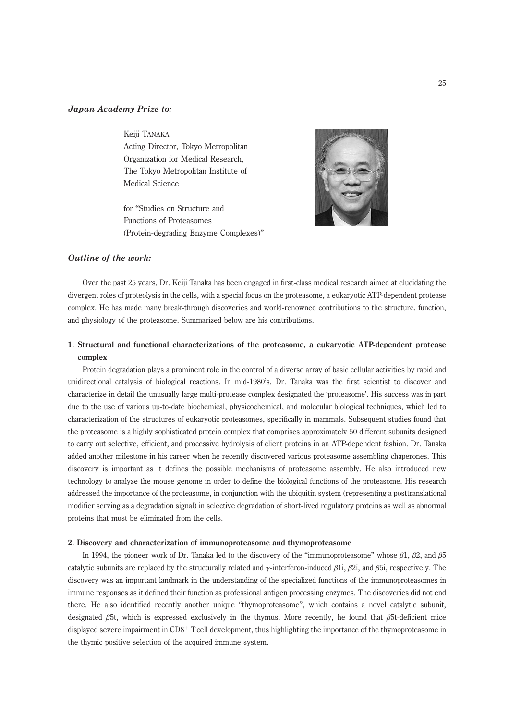## Japan Academy Prize to:

## Keiji TANAKA

Acting Director, Tokyo Metropolitan Organization for Medical Research, The Tokyo Metropolitan Institute of Medical Science

for ''Studies on Structure and Functions of Proteasomes (Protein-degrading Enzyme Complexes)''



## Outline of the work:

Over the past 25 years, Dr. Keiji Tanaka has been engaged in first-class medical research aimed at elucidating the divergent roles of proteolysis in the cells, with a special focus on the proteasome, a eukaryotic ATP-dependent protease complex. He has made many break-through discoveries and world-renowned contributions to the structure, function, and physiology of the proteasome. Summarized below are his contributions.

# 1. Structural and functional characterizations of the proteasome, a eukaryotic ATP-dependent protease complex

Protein degradation plays a prominent role in the control of a diverse array of basic cellular activities by rapid and unidirectional catalysis of biological reactions. In mid-1980's, Dr. Tanaka was the first scientist to discover and characterize in detail the unusually large multi-protease complex designated the 'proteasome'. His success was in part due to the use of various up-to-date biochemical, physicochemical, and molecular biological techniques, which led to characterization of the structures of eukaryotic proteasomes, specifically in mammals. Subsequent studies found that the proteasome is a highly sophisticated protein complex that comprises approximately 50 different subunits designed to carry out selective, efficient, and processive hydrolysis of client proteins in an ATP-dependent fashion. Dr. Tanaka added another milestone in his career when he recently discovered various proteasome assembling chaperones. This discovery is important as it defines the possible mechanisms of proteasome assembly. He also introduced new technology to analyze the mouse genome in order to define the biological functions of the proteasome. His research addressed the importance of the proteasome, in conjunction with the ubiquitin system (representing a posttranslational modifier serving as a degradation signal) in selective degradation of short-lived regulatory proteins as well as abnormal proteins that must be eliminated from the cells.

### 2. Discovery and characterization of immunoproteasome and thymoproteasome

In 1994, the pioneer work of Dr. Tanaka led to the discovery of the "immunoproteasome" whose  $\beta$ 1,  $\beta$ 2, and  $\beta$ 5 catalytic subunits are replaced by the structurally related and  $\gamma$ -interferon-induced β1i, β2i, and β5i, respectively. The discovery was an important landmark in the understanding of the specialized functions of the immunoproteasomes in immune responses as it defined their function as professional antigen processing enzymes. The discoveries did not end there. He also identified recently another unique ''thymoproteasome'', which contains a novel catalytic subunit, designated β5t, which is expressed exclusively in the thymus. More recently, he found that β5t-deficient mice displayed severe impairment in  $CD8<sup>+</sup>$  T cell development, thus highlighting the importance of the thymoproteasome in the thymic positive selection of the acquired immune system.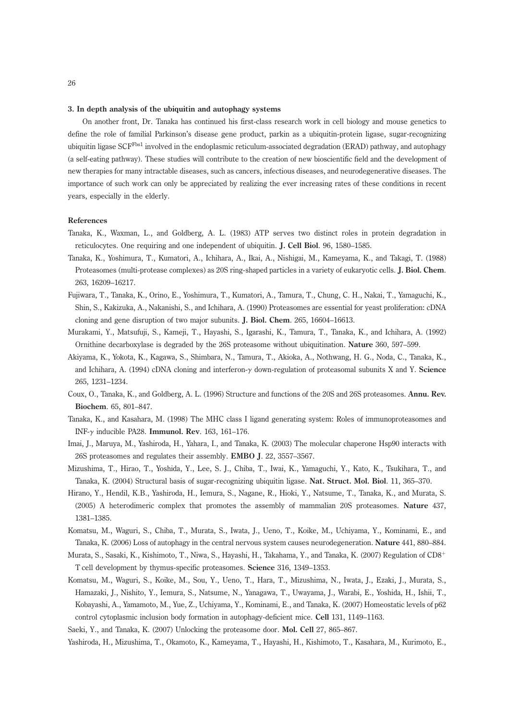#### 3. In depth analysis of the ubiquitin and autophagy systems

On another front, Dr. Tanaka has continued his first-class research work in cell biology and mouse genetics to define the role of familial Parkinson's disease gene product, parkin as a ubiquitin-protein ligase, sugar-recognizing ubiquitin ligase SCF<sup>Fbs1</sup> involved in the endoplasmic reticulum-associated degradation (ERAD) pathway, and autophagy (a self-eating pathway). These studies will contribute to the creation of new bioscientific field and the development of new therapies for many intractable diseases, such as cancers, infectious diseases, and neurodegenerative diseases. The importance of such work can only be appreciated by realizing the ever increasing rates of these conditions in recent years, especially in the elderly.

## References

- Tanaka, K., Waxman, L., and Goldberg, A. L. (1983) ATP serves two distinct roles in protein degradation in reticulocytes. One requiring and one independent of ubiquitin. J. Cell Biol. 96, 1580–1585.
- Tanaka, K., Yoshimura, T., Kumatori, A., Ichihara, A., Ikai, A., Nishigai, M., Kameyama, K., and Takagi, T. (1988) Proteasomes (multi-protease complexes) as 20S ring-shaped particles in a variety of eukaryotic cells. J. Biol. Chem. 263, 16209–16217.
- Fujiwara, T., Tanaka, K., Orino, E., Yoshimura, T., Kumatori, A., Tamura, T., Chung, C. H., Nakai, T., Yamaguchi, K., Shin, S., Kakizuka, A., Nakanishi, S., and Ichihara, A. (1990) Proteasomes are essential for yeast proliferation: cDNA cloning and gene disruption of two major subunits. J. Biol. Chem. 265, 16604–16613.
- Murakami, Y., Matsufuji, S., Kameji, T., Hayashi, S., Igarashi, K., Tamura, T., Tanaka, K., and Ichihara, A. (1992) Ornithine decarboxylase is degraded by the 26S proteasome without ubiquitination. Nature 360, 597–599.
- Akiyama, K., Yokota, K., Kagawa, S., Shimbara, N., Tamura, T., Akioka, A., Nothwang, H. G., Noda, C., Tanaka, K., and Ichihara, A. (1994) cDNA cloning and interferon-γ down-regulation of proteasomal subunits X and Y. Science 265, 1231–1234.
- Coux, O., Tanaka, K., and Goldberg, A. L. (1996) Structure and functions of the 20S and 26S proteasomes. Annu. Rev. Biochem. 65, 801–847.
- Tanaka, K., and Kasahara, M. (1998) The MHC class I ligand generating system: Roles of immunoproteasomes and INF-γ inducible PA28. Immunol. Rev. 163, 161–176.
- Imai, J., Maruya, M., Yashiroda, H., Yahara, I., and Tanaka, K. (2003) The molecular chaperone Hsp90 interacts with 26S proteasomes and regulates their assembly. EMBO J. 22, 3557–3567.
- Mizushima, T., Hirao, T., Yoshida, Y., Lee, S. J., Chiba, T., Iwai, K., Yamaguchi, Y., Kato, K., Tsukihara, T., and Tanaka, K. (2004) Structural basis of sugar-recognizing ubiquitin ligase. Nat. Struct. Mol. Biol. 11, 365–370.
- Hirano, Y., Hendil, K.B., Yashiroda, H., Iemura, S., Nagane, R., Hioki, Y., Natsume, T., Tanaka, K., and Murata, S. (2005) A heterodimeric complex that promotes the assembly of mammalian 20S proteasomes. Nature 437, 1381–1385.
- Komatsu, M., Waguri, S., Chiba, T., Murata, S., Iwata, J., Ueno, T., Koike, M., Uchiyama, Y., Kominami, E., and Tanaka, K. (2006) Loss of autophagy in the central nervous system causes neurodegeneration. Nature 441, 880–884.
- Murata, S., Sasaki, K., Kishimoto, T., Niwa, S., Hayashi, H., Takahama, Y., and Tanaka, K. (2007) Regulation of  $CD8^+$ T cell development by thymus-specific proteasomes. Science 316, 1349–1353.
- Komatsu, M., Waguri, S., Koike, M., Sou, Y., Ueno, T., Hara, T., Mizushima, N., Iwata, J., Ezaki, J., Murata, S., Hamazaki, J., Nishito, Y., Iemura, S., Natsume, N., Yanagawa, T., Uwayama, J., Warabi, E., Yoshida, H., Ishii, T., Kobayashi, A., Yamamoto, M., Yue, Z., Uchiyama, Y., Kominami, E., and Tanaka, K. (2007) Homeostatic levels of p62 control cytoplasmic inclusion body formation in autophagy-deficient mice. Cell 131, 1149–1163.
- Saeki, Y., and Tanaka, K. (2007) Unlocking the proteasome door. Mol. Cell 27, 865–867.

Yashiroda, H., Mizushima, T., Okamoto, K., Kameyama, T., Hayashi, H., Kishimoto, T., Kasahara, M., Kurimoto, E.,